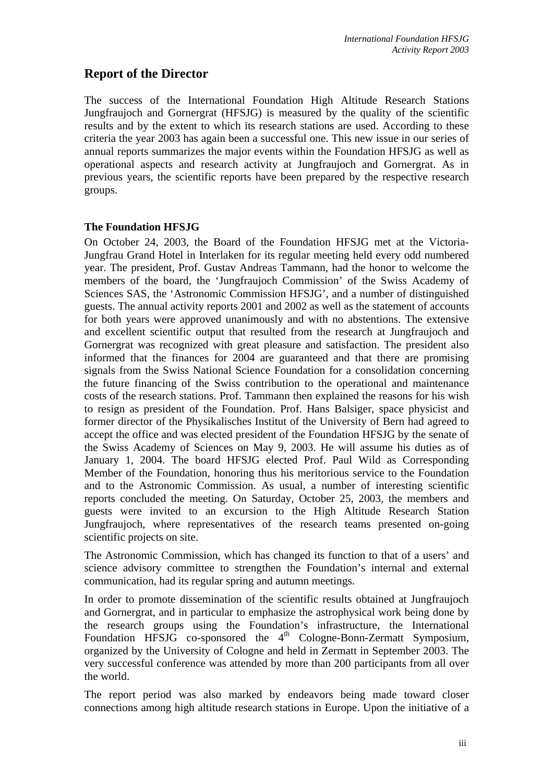# **Report of the Director**

The success of the International Foundation High Altitude Research Stations Jungfraujoch and Gornergrat (HFSJG) is measured by the quality of the scientific results and by the extent to which its research stations are used. According to these criteria the year 2003 has again been a successful one. This new issue in our series of annual reports summarizes the major events within the Foundation HFSJG as well as operational aspects and research activity at Jungfraujoch and Gornergrat. As in previous years, the scientific reports have been prepared by the respective research groups.

# **The Foundation HFSJG**

On October 24, 2003, the Board of the Foundation HFSJG met at the Victoria-Jungfrau Grand Hotel in Interlaken for its regular meeting held every odd numbered year. The president, Prof. Gustav Andreas Tammann, had the honor to welcome the members of the board, the 'Jungfraujoch Commission' of the Swiss Academy of Sciences SAS, the 'Astronomic Commission HFSJG', and a number of distinguished guests. The annual activity reports 2001 and 2002 as well as the statement of accounts for both years were approved unanimously and with no abstentions. The extensive and excellent scientific output that resulted from the research at Jungfraujoch and Gornergrat was recognized with great pleasure and satisfaction. The president also informed that the finances for 2004 are guaranteed and that there are promising signals from the Swiss National Science Foundation for a consolidation concerning the future financing of the Swiss contribution to the operational and maintenance costs of the research stations. Prof. Tammann then explained the reasons for his wish to resign as president of the Foundation. Prof. Hans Balsiger, space physicist and former director of the Physikalisches Institut of the University of Bern had agreed to accept the office and was elected president of the Foundation HFSJG by the senate of the Swiss Academy of Sciences on May 9, 2003. He will assume his duties as of January 1, 2004. The board HFSJG elected Prof. Paul Wild as Corresponding Member of the Foundation, honoring thus his meritorious service to the Foundation and to the Astronomic Commission. As usual, a number of interesting scientific reports concluded the meeting. On Saturday, October 25, 2003, the members and guests were invited to an excursion to the High Altitude Research Station Jungfraujoch, where representatives of the research teams presented on-going scientific projects on site.

The Astronomic Commission, which has changed its function to that of a users' and science advisory committee to strengthen the Foundation's internal and external communication, had its regular spring and autumn meetings.

In order to promote dissemination of the scientific results obtained at Jungfraujoch and Gornergrat, and in particular to emphasize the astrophysical work being done by the research groups using the Foundation's infrastructure, the International Foundation  $HFSJ\overline{G}$  co-sponsored the  $4<sup>th</sup>$  Cologne-Bonn-Zermatt Symposium, organized by the University of Cologne and held in Zermatt in September 2003. The very successful conference was attended by more than 200 participants from all over the world.

The report period was also marked by endeavors being made toward closer connections among high altitude research stations in Europe. Upon the initiative of a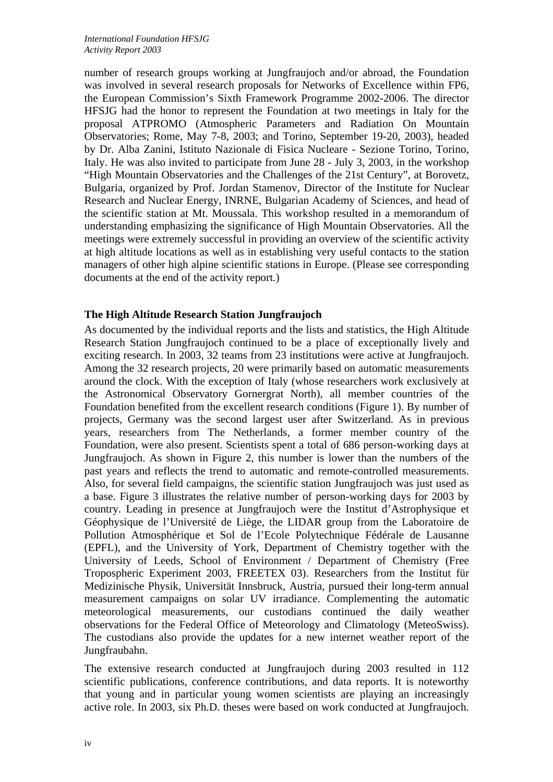number of research groups working at Jungfraujoch and/or abroad, the Foundation was involved in several research proposals for Networks of Excellence within FP6, the European Commission's Sixth Framework Programme 2002-2006. The director HFSJG had the honor to represent the Foundation at two meetings in Italy for the proposal ATPROMO (Atmospheric Parameters and Radiation On Mountain Observatories; Rome, May 7-8, 2003; and Torino, September 19-20, 2003), headed by Dr. Alba Zanini, Istituto Nazionale di Fisica Nucleare - Sezione Torino, Torino, Italy. He was also invited to participate from June 28 - July 3, 2003, in the workshop "High Mountain Observatories and the Challenges of the 21st Century", at Borovetz, Bulgaria, organized by Prof. Jordan Stamenov, Director of the Institute for Nuclear Research and Nuclear Energy, INRNE, Bulgarian Academy of Sciences, and head of the scientific station at Mt. Moussala. This workshop resulted in a memorandum of understanding emphasizing the significance of High Mountain Observatories. All the meetings were extremely successful in providing an overview of the scientific activity at high altitude locations as well as in establishing very useful contacts to the station managers of other high alpine scientific stations in Europe. (Please see corresponding documents at the end of the activity report.)

# **The High Altitude Research Station Jungfraujoch**

As documented by the individual reports and the lists and statistics, the High Altitude Research Station Jungfraujoch continued to be a place of exceptionally lively and exciting research. In 2003, 32 teams from 23 institutions were active at Jungfraujoch. Among the 32 research projects, 20 were primarily based on automatic measurements around the clock. With the exception of Italy (whose researchers work exclusively at the Astronomical Observatory Gornergrat North), all member countries of the Foundation benefited from the excellent research conditions (Figure 1). By number of projects, Germany was the second largest user after Switzerland. As in previous years, researchers from The Netherlands, a former member country of the Foundation, were also present. Scientists spent a total of 686 person-working days at Jungfraujoch. As shown in Figure 2, this number is lower than the numbers of the past years and reflects the trend to automatic and remote-controlled measurements. Also, for several field campaigns, the scientific station Jungfraujoch was just used as a base. Figure 3 illustrates the relative number of person-working days for 2003 by country. Leading in presence at Jungfraujoch were the Institut d'Astrophysique et Géophysique de l'Université de Liège, the LIDAR group from the Laboratoire de Pollution Atmosphérique et Sol de l'Ecole Polytechnique Fédérale de Lausanne (EPFL), and the University of York, Department of Chemistry together with the University of Leeds, School of Environment / Department of Chemistry (Free Tropospheric Experiment 2003, FREETEX 03). Researchers from the Institut für Medizinische Physik, Universität Innsbruck, Austria, pursued their long-term annual measurement campaigns on solar UV irradiance. Complementing the automatic meteorological measurements, our custodians continued the daily weather observations for the Federal Office of Meteorology and Climatology (MeteoSwiss). The custodians also provide the updates for a new internet weather report of the Jungfraubahn.

The extensive research conducted at Jungfraujoch during 2003 resulted in 112 scientific publications, conference contributions, and data reports. It is noteworthy that young and in particular young women scientists are playing an increasingly active role. In 2003, six Ph.D. theses were based on work conducted at Jungfraujoch.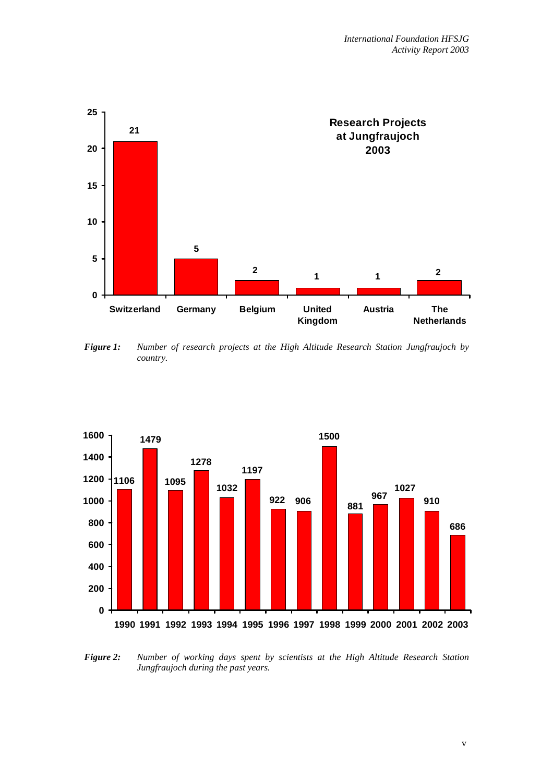

*Figure 1: Number of research projects at the High Altitude Research Station Jungfraujoch by country.* 



*Figure 2: Number of working days spent by scientists at the High Altitude Research Station Jungfraujoch during the past years.*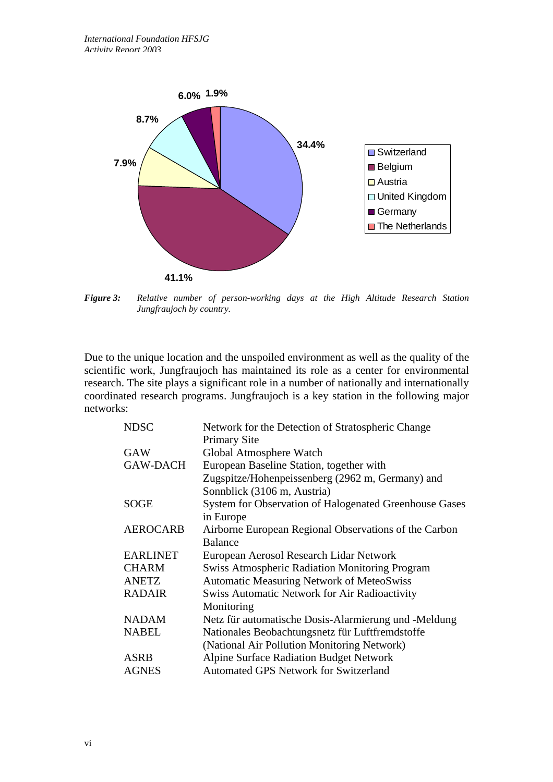

*Figure 3: Relative number of person-working days at the High Altitude Research Station Jungfraujoch by country.* 

Due to the unique location and the unspoiled environment as well as the quality of the scientific work, Jungfraujoch has maintained its role as a center for environmental research. The site plays a significant role in a number of nationally and internationally coordinated research programs. Jungfraujoch is a key station in the following major networks:

| <b>NDSC</b>     | Network for the Detection of Stratospheric Change             |
|-----------------|---------------------------------------------------------------|
|                 | <b>Primary Site</b>                                           |
| <b>GAW</b>      | Global Atmosphere Watch                                       |
| <b>GAW-DACH</b> | European Baseline Station, together with                      |
|                 | Zugspitze/Hohenpeissenberg (2962 m, Germany) and              |
|                 | Sonnblick (3106 m, Austria)                                   |
| <b>SOGE</b>     | <b>System for Observation of Halogenated Greenhouse Gases</b> |
|                 | in Europe                                                     |
| <b>AEROCARB</b> | Airborne European Regional Observations of the Carbon         |
|                 | <b>Balance</b>                                                |
| <b>EARLINET</b> | European Aerosol Research Lidar Network                       |
| <b>CHARM</b>    | <b>Swiss Atmospheric Radiation Monitoring Program</b>         |
| <b>ANETZ</b>    | <b>Automatic Measuring Network of MeteoSwiss</b>              |
| <b>RADAIR</b>   | Swiss Automatic Network for Air Radioactivity                 |
|                 | Monitoring                                                    |
| <b>NADAM</b>    | Netz für automatische Dosis-Alarmierung und -Meldung          |
| <b>NABEL</b>    | Nationales Beobachtungsnetz für Luftfremdstoffe               |
|                 | (National Air Pollution Monitoring Network)                   |
| ASRB            | <b>Alpine Surface Radiation Budget Network</b>                |
| <b>AGNES</b>    | Automated GPS Network for Switzerland                         |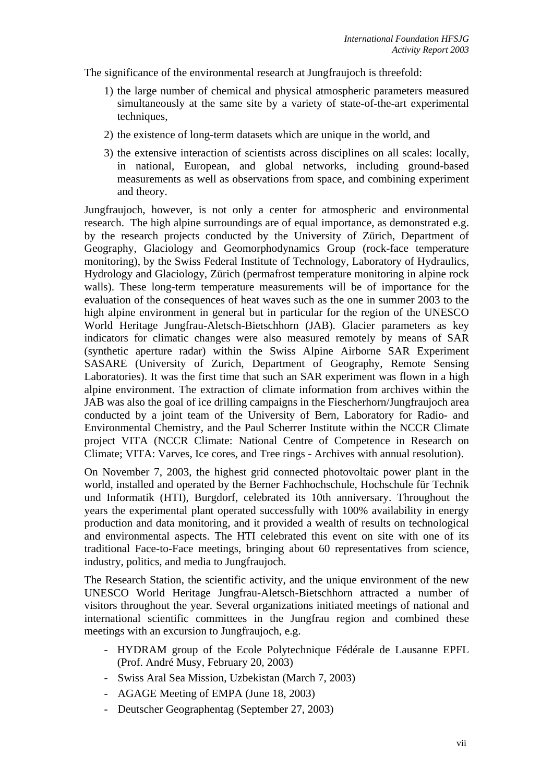The significance of the environmental research at Jungfraujoch is threefold:

- 1) the large number of chemical and physical atmospheric parameters measured simultaneously at the same site by a variety of state-of-the-art experimental techniques,
- 2) the existence of long-term datasets which are unique in the world, and
- 3) the extensive interaction of scientists across disciplines on all scales: locally, in national, European, and global networks, including ground-based measurements as well as observations from space, and combining experiment and theory.

Jungfraujoch, however, is not only a center for atmospheric and environmental research. The high alpine surroundings are of equal importance, as demonstrated e.g. by the research projects conducted by the University of Zürich, Department of Geography, Glaciology and Geomorphodynamics Group (rock-face temperature monitoring), by the Swiss Federal Institute of Technology, Laboratory of Hydraulics, Hydrology and Glaciology, Zürich (permafrost temperature monitoring in alpine rock walls). These long-term temperature measurements will be of importance for the evaluation of the consequences of heat waves such as the one in summer 2003 to the high alpine environment in general but in particular for the region of the UNESCO World Heritage Jungfrau-Aletsch-Bietschhorn (JAB). Glacier parameters as key indicators for climatic changes were also measured remotely by means of SAR (synthetic aperture radar) within the Swiss Alpine Airborne SAR Experiment SASARE (University of Zurich, Department of Geography, Remote Sensing Laboratories). It was the first time that such an SAR experiment was flown in a high alpine environment. The extraction of climate information from archives within the JAB was also the goal of ice drilling campaigns in the Fiescherhorn/Jungfraujoch area conducted by a joint team of the University of Bern, Laboratory for Radio- and Environmental Chemistry, and the Paul Scherrer Institute within the NCCR Climate project VITA (NCCR Climate: National Centre of Competence in Research on Climate; VITA: Varves, Ice cores, and Tree rings - Archives with annual resolution).

On November 7, 2003, the highest grid connected photovoltaic power plant in the world, installed and operated by the Berner Fachhochschule, Hochschule für Technik und Informatik (HTI), Burgdorf, celebrated its 10th anniversary. Throughout the years the experimental plant operated successfully with 100% availability in energy production and data monitoring, and it provided a wealth of results on technological and environmental aspects. The HTI celebrated this event on site with one of its traditional Face-to-Face meetings, bringing about 60 representatives from science, industry, politics, and media to Jungfraujoch.

The Research Station, the scientific activity, and the unique environment of the new UNESCO World Heritage Jungfrau-Aletsch-Bietschhorn attracted a number of visitors throughout the year. Several organizations initiated meetings of national and international scientific committees in the Jungfrau region and combined these meetings with an excursion to Jungfraujoch, e.g.

- HYDRAM group of the Ecole Polytechnique Fédérale de Lausanne EPFL (Prof. André Musy, February 20, 2003)
- Swiss Aral Sea Mission, Uzbekistan (March 7, 2003)
- AGAGE Meeting of EMPA (June 18, 2003)
- Deutscher Geographentag (September 27, 2003)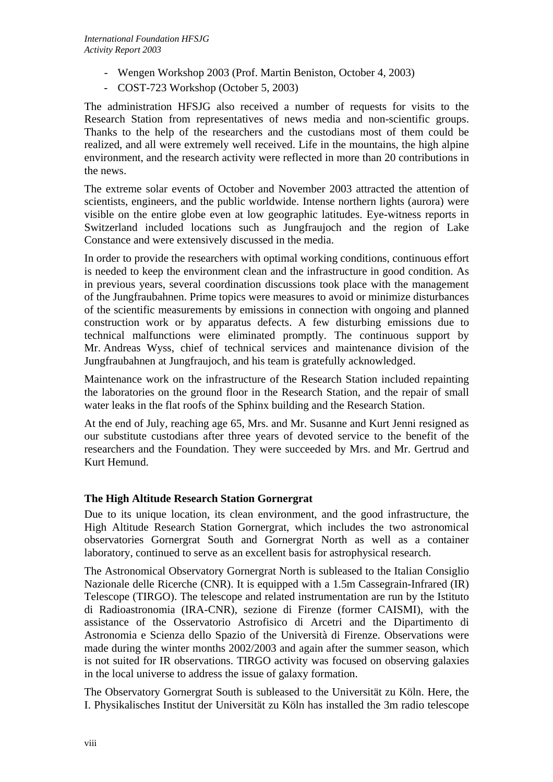- Wengen Workshop 2003 (Prof. Martin Beniston, October 4, 2003)
- COST-723 Workshop (October 5, 2003)

The administration HFSJG also received a number of requests for visits to the Research Station from representatives of news media and non-scientific groups. Thanks to the help of the researchers and the custodians most of them could be realized, and all were extremely well received. Life in the mountains, the high alpine environment, and the research activity were reflected in more than 20 contributions in the news.

The extreme solar events of October and November 2003 attracted the attention of scientists, engineers, and the public worldwide. Intense northern lights (aurora) were visible on the entire globe even at low geographic latitudes. Eye-witness reports in Switzerland included locations such as Jungfraujoch and the region of Lake Constance and were extensively discussed in the media.

In order to provide the researchers with optimal working conditions, continuous effort is needed to keep the environment clean and the infrastructure in good condition. As in previous years, several coordination discussions took place with the management of the Jungfraubahnen. Prime topics were measures to avoid or minimize disturbances of the scientific measurements by emissions in connection with ongoing and planned construction work or by apparatus defects. A few disturbing emissions due to technical malfunctions were eliminated promptly. The continuous support by Mr. Andreas Wyss, chief of technical services and maintenance division of the Jungfraubahnen at Jungfraujoch, and his team is gratefully acknowledged.

Maintenance work on the infrastructure of the Research Station included repainting the laboratories on the ground floor in the Research Station, and the repair of small water leaks in the flat roofs of the Sphinx building and the Research Station.

At the end of July, reaching age 65, Mrs. and Mr. Susanne and Kurt Jenni resigned as our substitute custodians after three years of devoted service to the benefit of the researchers and the Foundation. They were succeeded by Mrs. and Mr. Gertrud and Kurt Hemund.

### **The High Altitude Research Station Gornergrat**

Due to its unique location, its clean environment, and the good infrastructure, the High Altitude Research Station Gornergrat, which includes the two astronomical observatories Gornergrat South and Gornergrat North as well as a container laboratory, continued to serve as an excellent basis for astrophysical research.

The Astronomical Observatory Gornergrat North is subleased to the Italian Consiglio Nazionale delle Ricerche (CNR). It is equipped with a 1.5m Cassegrain-Infrared (IR) Telescope (TIRGO). The telescope and related instrumentation are run by the Istituto di Radioastronomia (IRA-CNR), sezione di Firenze (former CAISMI), with the assistance of the Osservatorio Astrofisico di Arcetri and the Dipartimento di Astronomia e Scienza dello Spazio of the Università di Firenze. Observations were made during the winter months 2002/2003 and again after the summer season, which is not suited for IR observations. TIRGO activity was focused on observing galaxies in the local universe to address the issue of galaxy formation.

The Observatory Gornergrat South is subleased to the Universität zu Köln. Here, the I. Physikalisches Institut der Universität zu Köln has installed the 3m radio telescope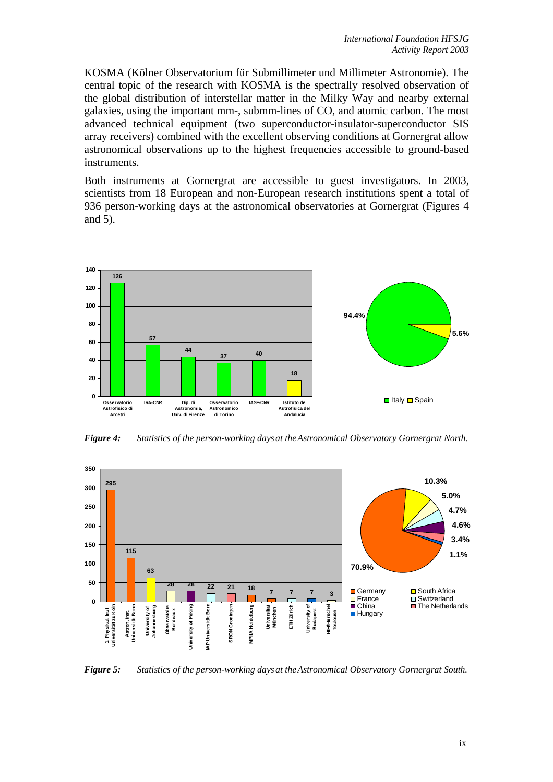KOSMA (Kölner Observatorium für Submillimeter und Millimeter Astronomie). The central topic of the research with KOSMA is the spectrally resolved observation of the global distribution of interstellar matter in the Milky Way and nearby external galaxies, using the important mm-, submm-lines of CO, and atomic carbon. The most advanced technical equipment (two superconductor-insulator-superconductor SIS array receivers) combined with the excellent observing conditions at Gornergrat allow astronomical observations up to the highest frequencies accessible to ground-based instruments.

Both instruments at Gornergrat are accessible to guest investigators. In 2003, scientists from 18 European and non-European research institutions spent a total of 936 person-working days at the astronomical observatories at Gornergrat (Figures 4 and 5).



*Figure 4: Statistics of the person-working days at the Astronomical Observatory Gornergrat North.* 



*Figure 5: Statistics of the person-working days at the Astronomical Observatory Gornergrat South.*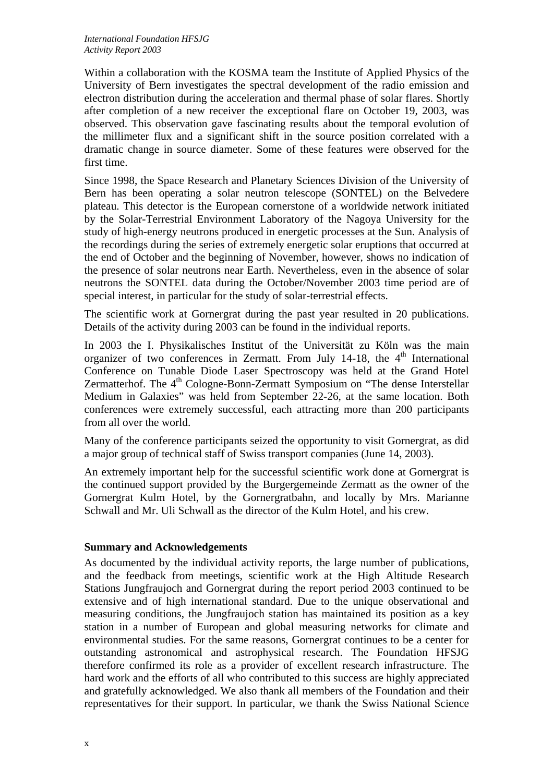Within a collaboration with the KOSMA team the Institute of Applied Physics of the University of Bern investigates the spectral development of the radio emission and electron distribution during the acceleration and thermal phase of solar flares. Shortly after completion of a new receiver the exceptional flare on October 19, 2003, was observed. This observation gave fascinating results about the temporal evolution of the millimeter flux and a significant shift in the source position correlated with a dramatic change in source diameter. Some of these features were observed for the first time.

Since 1998, the Space Research and Planetary Sciences Division of the University of Bern has been operating a solar neutron telescope (SONTEL) on the Belvedere plateau. This detector is the European cornerstone of a worldwide network initiated by the Solar-Terrestrial Environment Laboratory of the Nagoya University for the study of high-energy neutrons produced in energetic processes at the Sun. Analysis of the recordings during the series of extremely energetic solar eruptions that occurred at the end of October and the beginning of November, however, shows no indication of the presence of solar neutrons near Earth. Nevertheless, even in the absence of solar neutrons the SONTEL data during the October/November 2003 time period are of special interest, in particular for the study of solar-terrestrial effects.

The scientific work at Gornergrat during the past year resulted in 20 publications. Details of the activity during 2003 can be found in the individual reports.

In 2003 the I. Physikalisches Institut of the Universität zu Köln was the main organizer of two conferences in Zermatt. From July 14-18, the  $4<sup>th</sup>$  International Conference on Tunable Diode Laser Spectroscopy was held at the Grand Hotel Zermatterhof. The  $4<sup>th</sup>$  Cologne-Bonn-Zermatt Symposium on "The dense Interstellar Medium in Galaxies" was held from September 22-26, at the same location. Both conferences were extremely successful, each attracting more than 200 participants from all over the world.

Many of the conference participants seized the opportunity to visit Gornergrat, as did a major group of technical staff of Swiss transport companies (June 14, 2003).

An extremely important help for the successful scientific work done at Gornergrat is the continued support provided by the Burgergemeinde Zermatt as the owner of the Gornergrat Kulm Hotel, by the Gornergratbahn, and locally by Mrs. Marianne Schwall and Mr. Uli Schwall as the director of the Kulm Hotel, and his crew.

### **Summary and Acknowledgements**

As documented by the individual activity reports, the large number of publications, and the feedback from meetings, scientific work at the High Altitude Research Stations Jungfraujoch and Gornergrat during the report period 2003 continued to be extensive and of high international standard. Due to the unique observational and measuring conditions, the Jungfraujoch station has maintained its position as a key station in a number of European and global measuring networks for climate and environmental studies. For the same reasons, Gornergrat continues to be a center for outstanding astronomical and astrophysical research. The Foundation HFSJG therefore confirmed its role as a provider of excellent research infrastructure. The hard work and the efforts of all who contributed to this success are highly appreciated and gratefully acknowledged. We also thank all members of the Foundation and their representatives for their support. In particular, we thank the Swiss National Science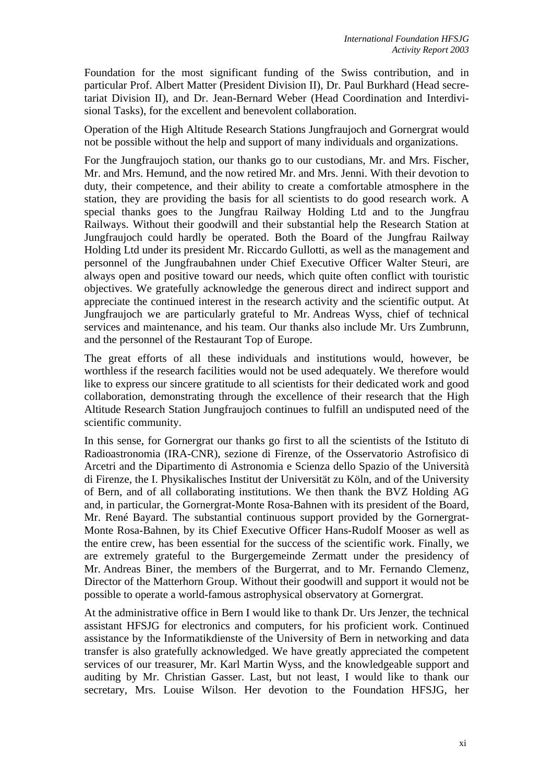Foundation for the most significant funding of the Swiss contribution, and in particular Prof. Albert Matter (President Division II), Dr. Paul Burkhard (Head secretariat Division II), and Dr. Jean-Bernard Weber (Head Coordination and Interdivisional Tasks), for the excellent and benevolent collaboration.

Operation of the High Altitude Research Stations Jungfraujoch and Gornergrat would not be possible without the help and support of many individuals and organizations.

For the Jungfraujoch station, our thanks go to our custodians, Mr. and Mrs. Fischer, Mr. and Mrs. Hemund, and the now retired Mr. and Mrs. Jenni. With their devotion to duty, their competence, and their ability to create a comfortable atmosphere in the station, they are providing the basis for all scientists to do good research work. A special thanks goes to the Jungfrau Railway Holding Ltd and to the Jungfrau Railways. Without their goodwill and their substantial help the Research Station at Jungfraujoch could hardly be operated. Both the Board of the Jungfrau Railway Holding Ltd under its president Mr. Riccardo Gullotti, as well as the management and personnel of the Jungfraubahnen under Chief Executive Officer Walter Steuri, are always open and positive toward our needs, which quite often conflict with touristic objectives. We gratefully acknowledge the generous direct and indirect support and appreciate the continued interest in the research activity and the scientific output. At Jungfraujoch we are particularly grateful to Mr. Andreas Wyss, chief of technical services and maintenance, and his team. Our thanks also include Mr. Urs Zumbrunn, and the personnel of the Restaurant Top of Europe.

The great efforts of all these individuals and institutions would, however, be worthless if the research facilities would not be used adequately. We therefore would like to express our sincere gratitude to all scientists for their dedicated work and good collaboration, demonstrating through the excellence of their research that the High Altitude Research Station Jungfraujoch continues to fulfill an undisputed need of the scientific community.

In this sense, for Gornergrat our thanks go first to all the scientists of the Istituto di Radioastronomia (IRA-CNR), sezione di Firenze, of the Osservatorio Astrofisico di Arcetri and the Dipartimento di Astronomia e Scienza dello Spazio of the Università di Firenze, the I. Physikalisches Institut der Universität zu Köln, and of the University of Bern, and of all collaborating institutions. We then thank the BVZ Holding AG and, in particular, the Gornergrat-Monte Rosa-Bahnen with its president of the Board, Mr. René Bayard. The substantial continuous support provided by the Gornergrat-Monte Rosa-Bahnen, by its Chief Executive Officer Hans-Rudolf Mooser as well as the entire crew, has been essential for the success of the scientific work. Finally, we are extremely grateful to the Burgergemeinde Zermatt under the presidency of Mr. Andreas Biner, the members of the Burgerrat, and to Mr. Fernando Clemenz, Director of the Matterhorn Group. Without their goodwill and support it would not be possible to operate a world-famous astrophysical observatory at Gornergrat.

At the administrative office in Bern I would like to thank Dr. Urs Jenzer, the technical assistant HFSJG for electronics and computers, for his proficient work. Continued assistance by the Informatikdienste of the University of Bern in networking and data transfer is also gratefully acknowledged. We have greatly appreciated the competent services of our treasurer, Mr. Karl Martin Wyss, and the knowledgeable support and auditing by Mr. Christian Gasser. Last, but not least, I would like to thank our secretary, Mrs. Louise Wilson. Her devotion to the Foundation HFSJG, her